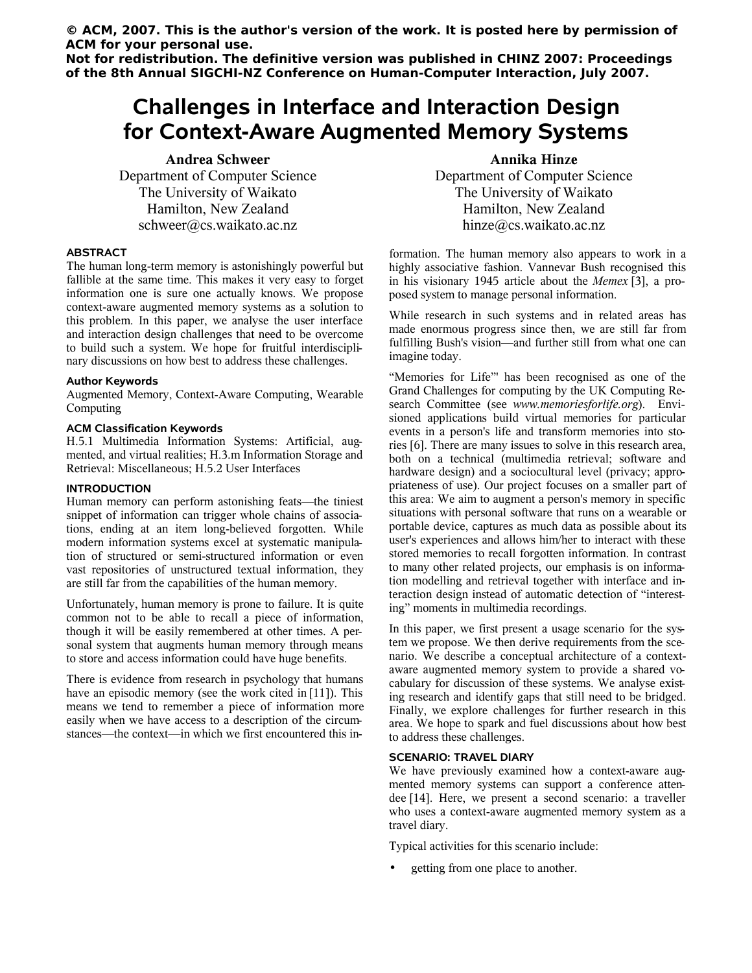**© ACM, 2007. This is the author's version of the work. It is posted here by permission of ACM for your personal use.**

**Not for redistribution. The definitive version was published in CHINZ 2007: Proceedings of the 8th Annual SIGCHI-NZ Conference on Human-Computer Interaction, July 2007.**

# **Challenges in Interface and Interaction Design for Context-Aware Augmented Memory Systems**

**Andrea Schweer** Department of Computer Science The University of Waikato Hamilton, New Zealand schweer@cs.waikato.ac.nz

## **ABSTRACT**

The human long-term memory is astonishingly powerful but fallible at the same time. This makes it very easy to forget information one is sure one actually knows. We propose context-aware augmented memory systems as a solution to this problem. In this paper, we analyse the user interface and interaction design challenges that need to be overcome to build such a system. We hope for fruitful interdisciplinary discussions on how best to address these challenges.

#### **Author Keywords**

Augmented Memory, Context-Aware Computing, Wearable Computing

## **ACM Classification Keywords**

H.5.1 Multimedia Information Systems: Artificial, augmented, and virtual realities; H.3.m Information Storage and Retrieval: Miscellaneous; H.5.2 User Interfaces

### **INTRODUCTION**

Human memory can perform astonishing feats—the tiniest snippet of information can trigger whole chains of associations, ending at an item long-believed forgotten. While modern information systems excel at systematic manipulation of structured or semi-structured information or even vast repositories of unstructured textual information, they are still far from the capabilities of the human memory.

Unfortunately, human memory is prone to failure. It is quite common not to be able to recall a piece of information, though it will be easily remembered at other times. A personal system that augments human memory through means to store and access information could have huge benefits.

There is evidence from research in psychology that humans have an episodic memory (see the work cited in [11]). This means we tend to remember a piece of information more easily when we have access to a description of the circumstances—the context—in which we first encountered this in-

**Annika Hinze** Department of Computer Science The University of Waikato Hamilton, New Zealand hinze@cs.waikato.ac.nz

formation. The human memory also appears to work in a highly associative fashion. Vannevar Bush recognised this in his visionary 1945 article about the *Memex* [3], a proposed system to manage personal information.

While research in such systems and in related areas has made enormous progress since then, we are still far from fulfilling Bush's vision—and further still from what one can imagine today.

"Memories for Life"' has been recognised as one of the Grand Challenges for computing by the UK Computing Research Committee (see *www.memoriesforlife.org*). Envisioned applications build virtual memories for particular events in a person's life and transform memories into stories [6]. There are many issues to solve in this research area, both on a technical (multimedia retrieval; software and hardware design) and a sociocultural level (privacy; appropriateness of use). Our project focuses on a smaller part of this area: We aim to augment a person's memory in specific situations with personal software that runs on a wearable or portable device, captures as much data as possible about its user's experiences and allows him/her to interact with these stored memories to recall forgotten information. In contrast to many other related projects, our emphasis is on information modelling and retrieval together with interface and interaction design instead of automatic detection of "interesting" moments in multimedia recordings.

In this paper, we first present a usage scenario for the system we propose. We then derive requirements from the scenario. We describe a conceptual architecture of a contextaware augmented memory system to provide a shared vocabulary for discussion of these systems. We analyse existing research and identify gaps that still need to be bridged. Finally, we explore challenges for further research in this area. We hope to spark and fuel discussions about how best to address these challenges.

### **SCENARIO: TRAVEL DIARY**

We have previously examined how a context-aware augmented memory systems can support a conference attendee [14]. Here, we present a second scenario: a traveller who uses a context-aware augmented memory system as a travel diary.

Typical activities for this scenario include:

getting from one place to another.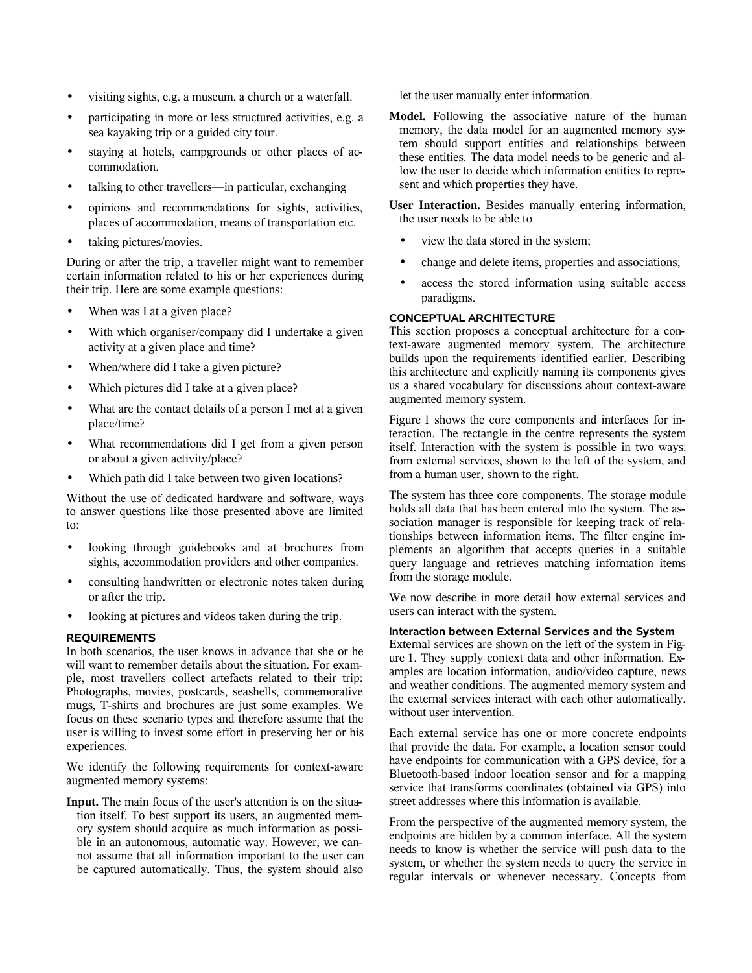- visiting sights, e.g. a museum, a church or a waterfall.
- participating in more or less structured activities, e.g. a sea kayaking trip or a guided city tour.
- staying at hotels, campgrounds or other places of accommodation.
- talking to other travellers—in particular, exchanging
- opinions and recommendations for sights, activities, places of accommodation, means of transportation etc.
- taking pictures/movies.

During or after the trip, a traveller might want to remember certain information related to his or her experiences during their trip. Here are some example questions:

- When was I at a given place?
- With which organiser/company did I undertake a given activity at a given place and time?
- When/where did I take a given picture?
- Which pictures did I take at a given place?
- What are the contact details of a person I met at a given place/time?
- What recommendations did I get from a given person or about a given activity/place?
- Which path did I take between two given locations?

Without the use of dedicated hardware and software, ways to answer questions like those presented above are limited to:

- looking through guidebooks and at brochures from sights, accommodation providers and other companies.
- consulting handwritten or electronic notes taken during or after the trip.
- looking at pictures and videos taken during the trip.

# **REQUIREMENTS**

In both scenarios, the user knows in advance that she or he will want to remember details about the situation. For example, most travellers collect artefacts related to their trip: Photographs, movies, postcards, seashells, commemorative mugs, T-shirts and brochures are just some examples. We focus on these scenario types and therefore assume that the user is willing to invest some effort in preserving her or his experiences.

We identify the following requirements for context-aware augmented memory systems:

**Input.** The main focus of the user's attention is on the situation itself. To best support its users, an augmented memory system should acquire as much information as possible in an autonomous, automatic way. However, we cannot assume that all information important to the user can be captured automatically. Thus, the system should also let the user manually enter information.

**Model.** Following the associative nature of the human memory, the data model for an augmented memory system should support entities and relationships between these entities. The data model needs to be generic and allow the user to decide which information entities to represent and which properties they have.

**User Interaction.** Besides manually entering information, the user needs to be able to

- view the data stored in the system;
- change and delete items, properties and associations;
- access the stored information using suitable access paradigms.

# **CONCEPTUAL ARCHITECTURE**

This section proposes a conceptual architecture for a context-aware augmented memory system. The architecture builds upon the requirements identified earlier. Describing this architecture and explicitly naming its components gives us a shared vocabulary for discussions about context-aware augmented memory system.

Figure 1 shows the core components and interfaces for interaction. The rectangle in the centre represents the system itself. Interaction with the system is possible in two ways: from external services, shown to the left of the system, and from a human user, shown to the right.

The system has three core components. The storage module holds all data that has been entered into the system. The association manager is responsible for keeping track of relationships between information items. The filter engine implements an algorithm that accepts queries in a suitable query language and retrieves matching information items from the storage module.

We now describe in more detail how external services and users can interact with the system.

## **Interaction between External Services and the System**

External services are shown on the left of the system in Figure 1. They supply context data and other information. Examples are location information, audio/video capture, news and weather conditions. The augmented memory system and the external services interact with each other automatically, without user intervention.

Each external service has one or more concrete endpoints that provide the data. For example, a location sensor could have endpoints for communication with a GPS device, for a Bluetooth-based indoor location sensor and for a mapping service that transforms coordinates (obtained via GPS) into street addresses where this information is available.

From the perspective of the augmented memory system, the endpoints are hidden by a common interface. All the system needs to know is whether the service will push data to the system, or whether the system needs to query the service in regular intervals or whenever necessary. Concepts from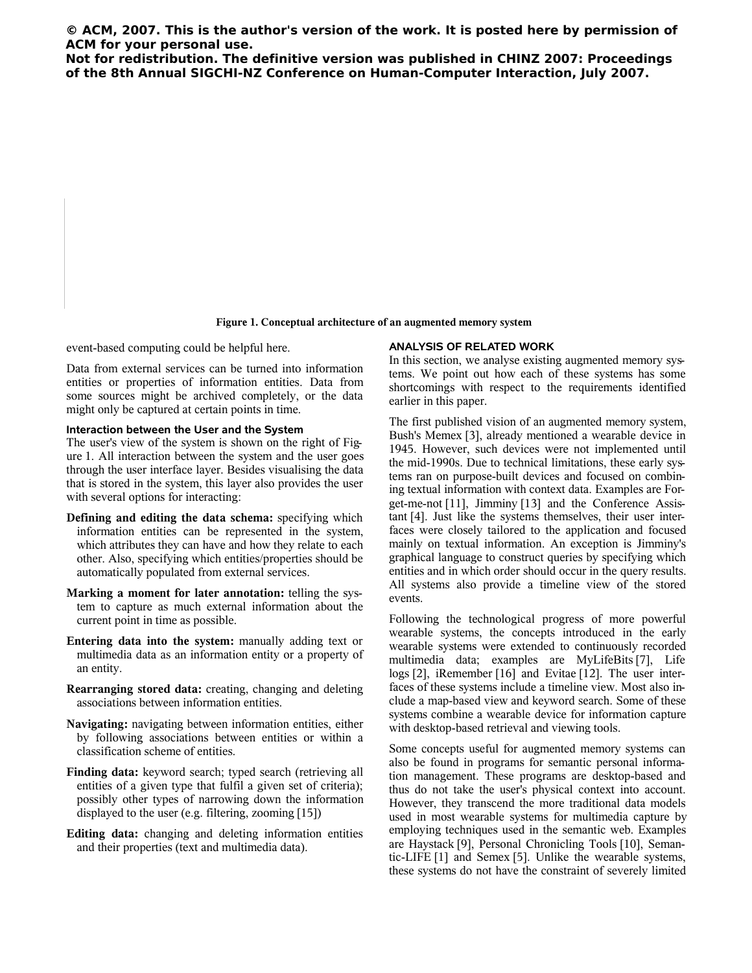**© ACM, 2007. This is the author's version of the work. It is posted here by permission of ACM for your personal use.**

**Not for redistribution. The definitive version was published in CHINZ 2007: Proceedings of the 8th Annual SIGCHI-NZ Conference on Human-Computer Interaction, July 2007.**

**Figure 1. Conceptual architecture of an augmented memory system**

event-based computing could be helpful here.

**ANALYSIS OF RELATED WORK**

Data from external services can be turned into information entities or properties of information entities. Data from some sources might be archived completely, or the data might only be captured at certain points in time.

## **Interaction between the User and the System**

The user's view of the system is shown on the right of Figure 1. All interaction between the system and the user goes through the user interface layer. Besides visualising the data that is stored in the system, this layer also provides the user with several options for interacting:

- **Defining and editing the data schema:** specifying which information entities can be represented in the system, which attributes they can have and how they relate to each other. Also, specifying which entities/properties should be automatically populated from external services.
- **Marking a moment for later annotation:** telling the system to capture as much external information about the current point in time as possible.
- **Entering data into the system:** manually adding text or multimedia data as an information entity or a property of an entity.
- **Rearranging stored data:** creating, changing and deleting associations between information entities.
- **Navigating:** navigating between information entities, either by following associations between entities or within a classification scheme of entities.
- **Finding data:** keyword search; typed search (retrieving all entities of a given type that fulfil a given set of criteria); possibly other types of narrowing down the information displayed to the user (e.g. filtering, zooming [15])
- **Editing data:** changing and deleting information entities and their properties (text and multimedia data).

In this section, we analyse existing augmented memory systems. We point out how each of these systems has some shortcomings with respect to the requirements identified earlier in this paper.

The first published vision of an augmented memory system, Bush's Memex [3], already mentioned a wearable device in 1945. However, such devices were not implemented until the mid-1990s. Due to technical limitations, these early systems ran on purpose-built devices and focused on combining textual information with context data. Examples are Forget-me-not [11], Jimminy [13] and the Conference Assistant [4]. Just like the systems themselves, their user interfaces were closely tailored to the application and focused mainly on textual information. An exception is Jimminy's graphical language to construct queries by specifying which entities and in which order should occur in the query results. All systems also provide a timeline view of the stored events.

Following the technological progress of more powerful wearable systems, the concepts introduced in the early wearable systems were extended to continuously recorded multimedia data; examples are MyLifeBits [7], Life logs [2], iRemember [16] and Evitae [12]. The user interfaces of these systems include a timeline view. Most also include a map-based view and keyword search. Some of these systems combine a wearable device for information capture with desktop-based retrieval and viewing tools.

Some concepts useful for augmented memory systems can also be found in programs for semantic personal information management. These programs are desktop-based and thus do not take the user's physical context into account. However, they transcend the more traditional data models used in most wearable systems for multimedia capture by employing techniques used in the semantic web. Examples are Haystack [9], Personal Chronicling Tools [10], Semantic-LIFE [1] and Semex [5]. Unlike the wearable systems, these systems do not have the constraint of severely limited